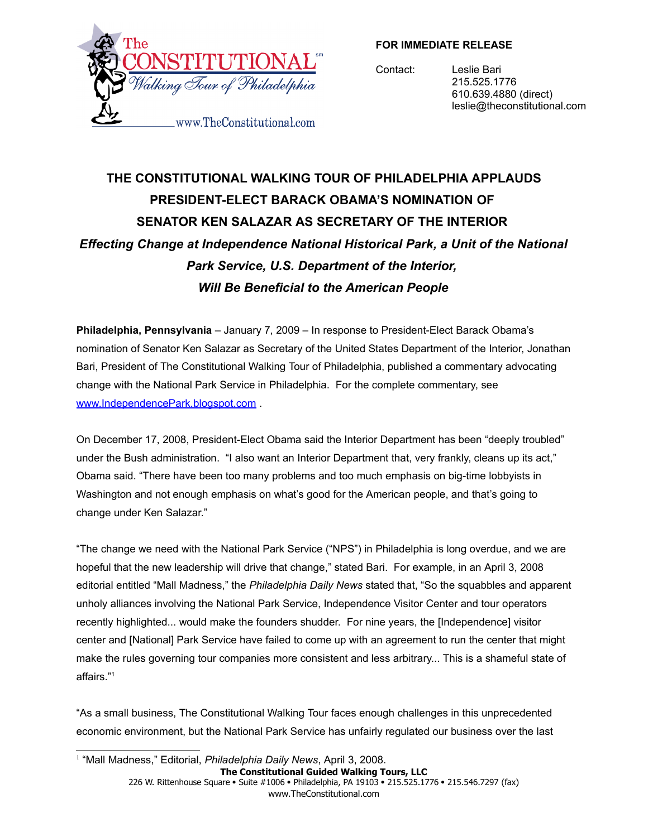

**FOR IMMEDIATE RELEASE**

Contact: Leslie Bari 215.525.1776 610.639.4880 (direct) leslie@theconstitutional.com

## **THE CONSTITUTIONAL WALKING TOUR OF PHILADELPHIA APPLAUDS PRESIDENT-ELECT BARACK OBAMA'S NOMINATION OF SENATOR KEN SALAZAR AS SECRETARY OF THE INTERIOR** *Effecting Change at Independence National Historical Park, a Unit of the National Park Service, U.S. Department of the Interior, Will Be Beneficial to the American People*

**Philadelphia, Pennsylvania** – January 7, 2009 – In response to President-Elect Barack Obama's nomination of Senator Ken Salazar as Secretary of the United States Department of the Interior, Jonathan Bari, President of The Constitutional Walking Tour of Philadelphia, published a commentary advocating change with the National Park Service in Philadelphia. For the complete commentary, see [www.IndependencePark.blogspot.com](http://www.independencepark.blogspot.com/) .

On December 17, 2008, President-Elect Obama said the Interior Department has been "deeply troubled" under the Bush administration. "I also want an Interior Department that, very frankly, cleans up its act," Obama said. "There have been too many problems and too much emphasis on big-time lobbyists in Washington and not enough emphasis on what's good for the American people, and that's going to change under Ken Salazar."

"The change we need with the National Park Service ("NPS") in Philadelphia is long overdue, and we are hopeful that the new leadership will drive that change," stated Bari. For example, in an April 3, 2008 editorial entitled "Mall Madness," the *Philadelphia Daily News* stated that, "So the squabbles and apparent unholy alliances involving the National Park Service, Independence Visitor Center and tour operators recently highlighted... would make the founders shudder. For nine years, the [Independence] visitor center and [National] Park Service have failed to come up with an agreement to run the center that might make the rules governing tour companies more consistent and less arbitrary... This is a shameful state of affairs." [1](#page-0-0)

"As a small business, The Constitutional Walking Tour faces enough challenges in this unprecedented economic environment, but the National Park Service has unfairly regulated our business over the last

<span id="page-0-0"></span>1 "Mall Madness," Editorial, *Philadelphia Daily News*, April 3, 2008.

**The Constitutional Guided Walking Tours, LLC** 226 W. Rittenhouse Square · Suite #1006 · Philadelphia, PA 19103 · 215.525.1776 · 215.546.7297 (fax) www.TheConstitutional.com